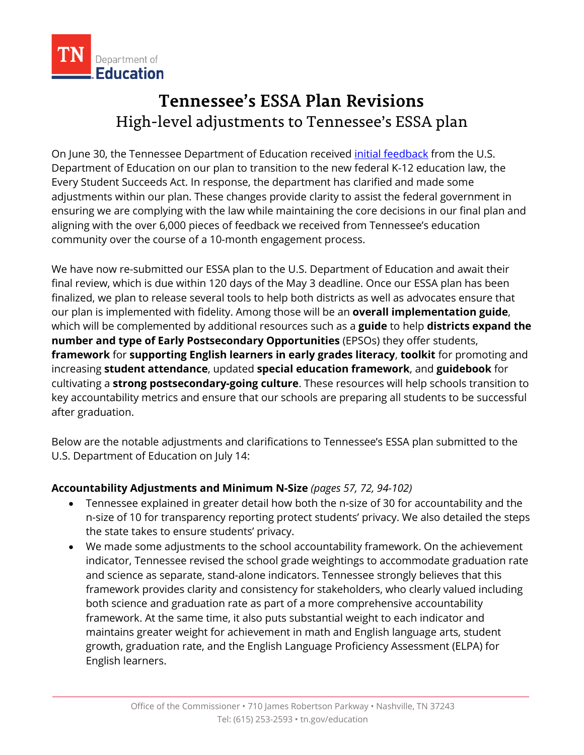

# **Tennessee's ESSA Plan Revisions** High-level adjustments to Tennessee's ESSA plan

On June 30, the Tennessee Department of Education received [initial feedback](https://www2.ed.gov/admins/lead/account/stateplan17/map/tn.html) from the U.S. Department of Education on our plan to transition to the new federal K-12 education law, the Every Student Succeeds Act. In response, the department has clarified and made some adjustments within our plan. These changes provide clarity to assist the federal government in ensuring we are complying with the law while maintaining the core decisions in our final plan and aligning with the over 6,000 pieces of feedback we received from Tennessee's education community over the course of a 10-month engagement process.

We have now re-submitted our ESSA plan to the U.S. Department of Education and await their final review, which is due within 120 days of the May 3 deadline. Once our ESSA plan has been finalized, we plan to release several tools to help both districts as well as advocates ensure that our plan is implemented with fidelity. Among those will be an **overall implementation guide**, which will be complemented by additional resources such as a **guide** to help **districts expand the number and type of Early Postsecondary Opportunities** (EPSOs) they offer students, **framework** for **supporting English learners in early grades literacy**, **toolkit** for promoting and increasing **student attendance**, updated **special education framework**, and **guidebook** for cultivating a **strong postsecondary-going culture**. These resources will help schools transition to key accountability metrics and ensure that our schools are preparing all students to be successful after graduation.

Below are the notable adjustments and clarifications to Tennessee's ESSA plan submitted to the U.S. Department of Education on July 14:

# **Accountability Adjustments and Minimum N-Size** *(pages 57, 72, 94-102)*

- Tennessee explained in greater detail how both the n-size of 30 for accountability and the n-size of 10 for transparency reporting protect students' privacy. We also detailed the steps the state takes to ensure students' privacy.
- We made some adjustments to the school accountability framework. On the achievement indicator, Tennessee revised the school grade weightings to accommodate graduation rate and science as separate, stand-alone indicators. Tennessee strongly believes that this framework provides clarity and consistency for stakeholders, who clearly valued including both science and graduation rate as part of a more comprehensive accountability framework. At the same time, it also puts substantial weight to each indicator and maintains greater weight for achievement in math and English language arts, student growth, graduation rate, and the English Language Proficiency Assessment (ELPA) for English learners.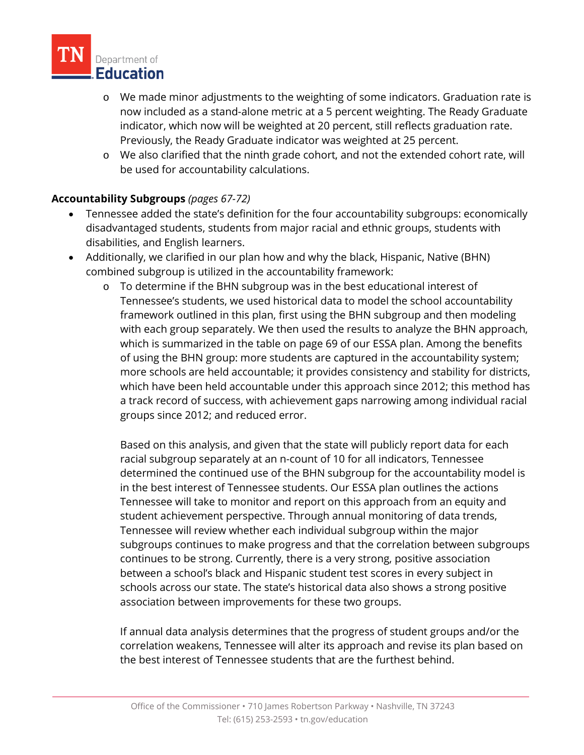

- o We made minor adjustments to the weighting of some indicators. Graduation rate is now included as a stand-alone metric at a 5 percent weighting. The Ready Graduate indicator, which now will be weighted at 20 percent, still reflects graduation rate. Previously, the Ready Graduate indicator was weighted at 25 percent.
- o We also clarified that the ninth grade cohort, and not the extended cohort rate, will be used for accountability calculations.

# **Accountability Subgroups** *(pages 67-72)*

- Tennessee added the state's definition for the four accountability subgroups: economically disadvantaged students, students from major racial and ethnic groups, students with disabilities, and English learners.
- Additionally, we clarified in our plan how and why the black, Hispanic, Native (BHN) combined subgroup is utilized in the accountability framework:
	- o To determine if the BHN subgroup was in the best educational interest of Tennessee's students, we used historical data to model the school accountability framework outlined in this plan, first using the BHN subgroup and then modeling with each group separately. We then used the results to analyze the BHN approach, which is summarized in the table on page 69 of our ESSA plan. Among the benefits of using the BHN group: more students are captured in the accountability system; more schools are held accountable; it provides consistency and stability for districts, which have been held accountable under this approach since 2012; this method has a track record of success, with achievement gaps narrowing among individual racial groups since 2012; and reduced error.

Based on this analysis, and given that the state will publicly report data for each racial subgroup separately at an n-count of 10 for all indicators, Tennessee determined the continued use of the BHN subgroup for the accountability model is in the best interest of Tennessee students. Our ESSA plan outlines the actions Tennessee will take to monitor and report on this approach from an equity and student achievement perspective. Through annual monitoring of data trends, Tennessee will review whether each individual subgroup within the major subgroups continues to make progress and that the correlation between subgroups continues to be strong. Currently, there is a very strong, positive association between a school's black and Hispanic student test scores in every subject in schools across our state. The state's historical data also shows a strong positive association between improvements for these two groups.

If annual data analysis determines that the progress of student groups and/or the correlation weakens, Tennessee will alter its approach and revise its plan based on the best interest of Tennessee students that are the furthest behind.